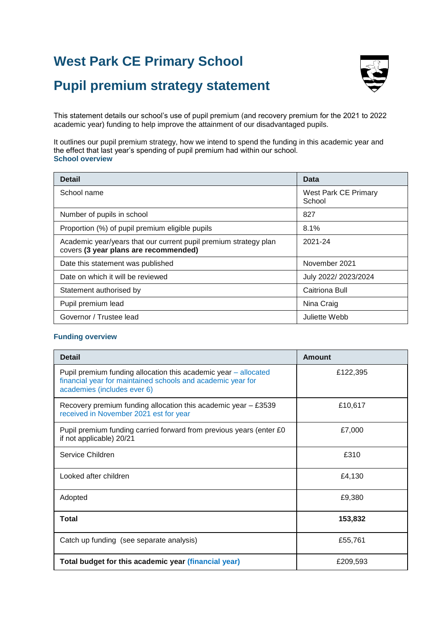# **West Park CE Primary School**



# **Pupil premium strategy statement**

This statement details our school's use of pupil premium (and recovery premium for the 2021 to 2022 academic year) funding to help improve the attainment of our disadvantaged pupils.

It outlines our pupil premium strategy, how we intend to spend the funding in this academic year and the effect that last year's spending of pupil premium had within our school. **School overview**

| <b>Detail</b>                                                                                             | Data                                  |
|-----------------------------------------------------------------------------------------------------------|---------------------------------------|
| School name                                                                                               | <b>West Park CE Primary</b><br>School |
| Number of pupils in school                                                                                | 827                                   |
| Proportion (%) of pupil premium eligible pupils                                                           | 8.1%                                  |
| Academic year/years that our current pupil premium strategy plan<br>covers (3 year plans are recommended) | 2021-24                               |
| Date this statement was published                                                                         | November 2021                         |
| Date on which it will be reviewed                                                                         | July 2022/ 2023/2024                  |
| Statement authorised by                                                                                   | Caitriona Bull                        |
| Pupil premium lead                                                                                        | Nina Craig                            |
| Governor / Trustee lead                                                                                   | Juliette Webb                         |

#### **Funding overview**

| <b>Detail</b>                                                                                                                                                 | <b>Amount</b> |
|---------------------------------------------------------------------------------------------------------------------------------------------------------------|---------------|
| Pupil premium funding allocation this academic year – allocated<br>financial year for maintained schools and academic year for<br>academies (includes ever 6) | £122,395      |
| Recovery premium funding allocation this academic year $-$ £3539<br>received in November 2021 est for year                                                    | £10,617       |
| Pupil premium funding carried forward from previous years (enter £0<br>if not applicable) 20/21                                                               | £7,000        |
| Service Children                                                                                                                                              | £310          |
| Looked after children                                                                                                                                         | £4,130        |
| Adopted                                                                                                                                                       | £9,380        |
| <b>Total</b>                                                                                                                                                  | 153,832       |
| Catch up funding (see separate analysis)                                                                                                                      | £55,761       |
| Total budget for this academic year (financial year)                                                                                                          | £209,593      |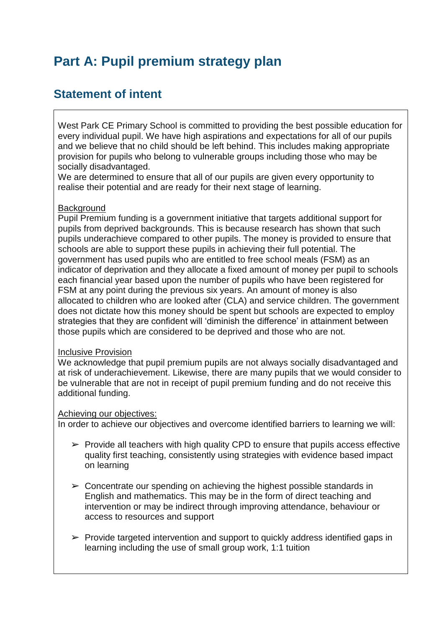# **Part A: Pupil premium strategy plan**

### **Statement of intent**

West Park CE Primary School is committed to providing the best possible education for every individual pupil. We have high aspirations and expectations for all of our pupils and we believe that no child should be left behind. This includes making appropriate provision for pupils who belong to vulnerable groups including those who may be socially disadvantaged.

We are determined to ensure that all of our pupils are given every opportunity to realise their potential and are ready for their next stage of learning.

#### **Background**

Pupil Premium funding is a government initiative that targets additional support for pupils from deprived backgrounds. This is because research has shown that such pupils underachieve compared to other pupils. The money is provided to ensure that schools are able to support these pupils in achieving their full potential. The government has used pupils who are entitled to free school meals (FSM) as an indicator of deprivation and they allocate a fixed amount of money per pupil to schools each financial year based upon the number of pupils who have been registered for FSM at any point during the previous six years. An amount of money is also allocated to children who are looked after (CLA) and service children. The government does not dictate how this money should be spent but schools are expected to employ strategies that they are confident will 'diminish the difference' in attainment between those pupils which are considered to be deprived and those who are not.

#### Inclusive Provision

We acknowledge that pupil premium pupils are not always socially disadvantaged and at risk of underachievement. Likewise, there are many pupils that we would consider to be vulnerable that are not in receipt of pupil premium funding and do not receive this additional funding.

#### Achieving our objectives:

In order to achieve our objectives and overcome identified barriers to learning we will:

- $\triangleright$  Provide all teachers with high quality CPD to ensure that pupils access effective quality first teaching, consistently using strategies with evidence based impact on learning
- $\triangleright$  Concentrate our spending on achieving the highest possible standards in English and mathematics. This may be in the form of direct teaching and intervention or may be indirect through improving attendance, behaviour or access to resources and support
- $\triangleright$  Provide targeted intervention and support to quickly address identified gaps in learning including the use of small group work, 1:1 tuition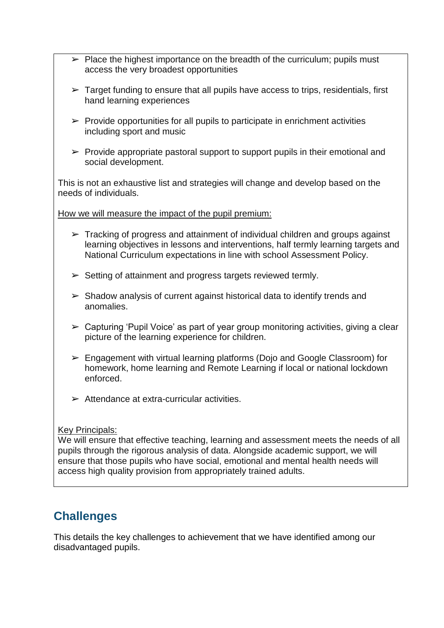- $\triangleright$  Place the highest importance on the breadth of the curriculum; pupils must access the very broadest opportunities
- $\triangleright$  Target funding to ensure that all pupils have access to trips, residentials, first hand learning experiences
- $\triangleright$  Provide opportunities for all pupils to participate in enrichment activities including sport and music
- $\triangleright$  Provide appropriate pastoral support to support pupils in their emotional and social development.

This is not an exhaustive list and strategies will change and develop based on the needs of individuals.

How we will measure the impact of the pupil premium:

- $\triangleright$  Tracking of progress and attainment of individual children and groups against learning objectives in lessons and interventions, half termly learning targets and National Curriculum expectations in line with school Assessment Policy.
- $\triangleright$  Setting of attainment and progress targets reviewed termly.
- $\triangleright$  Shadow analysis of current against historical data to identify trends and anomalies.
- $\triangleright$  Capturing 'Pupil Voice' as part of year group monitoring activities, giving a clear picture of the learning experience for children.
- $\geq$  Engagement with virtual learning platforms (Doio and Google Classroom) for homework, home learning and Remote Learning if local or national lockdown enforced.
- $\triangleright$  Attendance at extra-curricular activities.

#### Key Principals:

We will ensure that effective teaching, learning and assessment meets the needs of all pupils through the rigorous analysis of data. Alongside academic support, we will ensure that those pupils who have social, emotional and mental health needs will access high quality provision from appropriately trained adults.

### **Challenges**

This details the key challenges to achievement that we have identified among our disadvantaged pupils.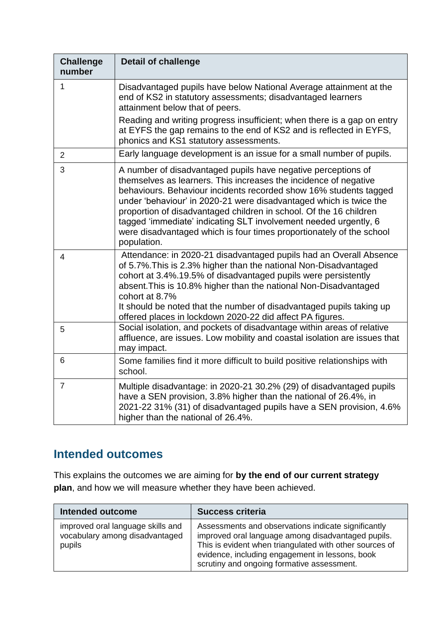| <b>Challenge</b><br>number | <b>Detail of challenge</b>                                                                                                                                                                                                                                                                                                                                                                                                                                                                                    |
|----------------------------|---------------------------------------------------------------------------------------------------------------------------------------------------------------------------------------------------------------------------------------------------------------------------------------------------------------------------------------------------------------------------------------------------------------------------------------------------------------------------------------------------------------|
| 1                          | Disadvantaged pupils have below National Average attainment at the<br>end of KS2 in statutory assessments; disadvantaged learners<br>attainment below that of peers.                                                                                                                                                                                                                                                                                                                                          |
|                            | Reading and writing progress insufficient; when there is a gap on entry<br>at EYFS the gap remains to the end of KS2 and is reflected in EYFS,<br>phonics and KS1 statutory assessments.                                                                                                                                                                                                                                                                                                                      |
| $\overline{2}$             | Early language development is an issue for a small number of pupils.                                                                                                                                                                                                                                                                                                                                                                                                                                          |
| 3                          | A number of disadvantaged pupils have negative perceptions of<br>themselves as learners. This increases the incidence of negative<br>behaviours. Behaviour incidents recorded show 16% students tagged<br>under 'behaviour' in 2020-21 were disadvantaged which is twice the<br>proportion of disadvantaged children in school. Of the 16 children<br>tagged 'immediate' indicating SLT involvement needed urgently, 6<br>were disadvantaged which is four times proportionately of the school<br>population. |
| $\overline{4}$             | Attendance: in 2020-21 disadvantaged pupils had an Overall Absence<br>of 5.7%. This is 2.3% higher than the national Non-Disadvantaged<br>cohort at 3.4%.19.5% of disadvantaged pupils were persistently<br>absent. This is 10.8% higher than the national Non-Disadvantaged<br>cohort at 8.7%<br>It should be noted that the number of disadvantaged pupils taking up<br>offered places in lockdown 2020-22 did affect PA figures.                                                                           |
| 5                          | Social isolation, and pockets of disadvantage within areas of relative<br>affluence, are issues. Low mobility and coastal isolation are issues that<br>may impact.                                                                                                                                                                                                                                                                                                                                            |
| 6                          | Some families find it more difficult to build positive relationships with<br>school.                                                                                                                                                                                                                                                                                                                                                                                                                          |
| $\overline{7}$             | Multiple disadvantage: in 2020-21 30.2% (29) of disadvantaged pupils<br>have a SEN provision, 3.8% higher than the national of 26.4%, in<br>2021-22 31% (31) of disadvantaged pupils have a SEN provision, 4.6%<br>higher than the national of 26.4%.                                                                                                                                                                                                                                                         |

### **Intended outcomes**

This explains the outcomes we are aiming for **by the end of our current strategy plan**, and how we will measure whether they have been achieved.

| Intended outcome                                                              | <b>Success criteria</b>                                                                                                                                                                                                                                               |
|-------------------------------------------------------------------------------|-----------------------------------------------------------------------------------------------------------------------------------------------------------------------------------------------------------------------------------------------------------------------|
| improved oral language skills and<br>vocabulary among disadvantaged<br>pupils | Assessments and observations indicate significantly<br>improved oral language among disadvantaged pupils.<br>This is evident when triangulated with other sources of<br>evidence, including engagement in lessons, book<br>scrutiny and ongoing formative assessment. |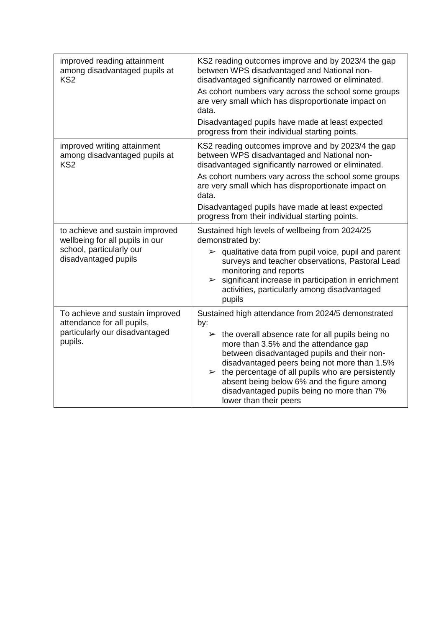| improved reading attainment<br>among disadvantaged pupils at<br>KS <sub>2</sub> | KS2 reading outcomes improve and by 2023/4 the gap<br>between WPS disadvantaged and National non-<br>disadvantaged significantly narrowed or eliminated.                                                                                                                                                                                                                                              |  |  |
|---------------------------------------------------------------------------------|-------------------------------------------------------------------------------------------------------------------------------------------------------------------------------------------------------------------------------------------------------------------------------------------------------------------------------------------------------------------------------------------------------|--|--|
|                                                                                 | As cohort numbers vary across the school some groups<br>are very small which has disproportionate impact on<br>data.                                                                                                                                                                                                                                                                                  |  |  |
|                                                                                 | Disadvantaged pupils have made at least expected<br>progress from their individual starting points.                                                                                                                                                                                                                                                                                                   |  |  |
| improved writing attainment<br>among disadvantaged pupils at<br>KS <sub>2</sub> | KS2 reading outcomes improve and by 2023/4 the gap<br>between WPS disadvantaged and National non-<br>disadvantaged significantly narrowed or eliminated.                                                                                                                                                                                                                                              |  |  |
|                                                                                 | As cohort numbers vary across the school some groups<br>are very small which has disproportionate impact on<br>data.                                                                                                                                                                                                                                                                                  |  |  |
|                                                                                 | Disadvantaged pupils have made at least expected<br>progress from their individual starting points.                                                                                                                                                                                                                                                                                                   |  |  |
| to achieve and sustain improved<br>wellbeing for all pupils in our              | Sustained high levels of wellbeing from 2024/25<br>demonstrated by:                                                                                                                                                                                                                                                                                                                                   |  |  |
| school, particularly our<br>disadvantaged pupils                                | $\triangleright$ qualitative data from pupil voice, pupil and parent<br>surveys and teacher observations, Pastoral Lead<br>monitoring and reports<br>$\triangleright$ significant increase in participation in enrichment<br>activities, particularly among disadvantaged<br>pupils                                                                                                                   |  |  |
| To achieve and sustain improved<br>attendance for all pupils,                   | Sustained high attendance from 2024/5 demonstrated<br>by:                                                                                                                                                                                                                                                                                                                                             |  |  |
| particularly our disadvantaged<br>pupils.                                       | $\triangleright$ the overall absence rate for all pupils being no<br>more than 3.5% and the attendance gap<br>between disadvantaged pupils and their non-<br>disadvantaged peers being not more than 1.5%<br>$\triangleright$ the percentage of all pupils who are persistently<br>absent being below 6% and the figure among<br>disadvantaged pupils being no more than 7%<br>lower than their peers |  |  |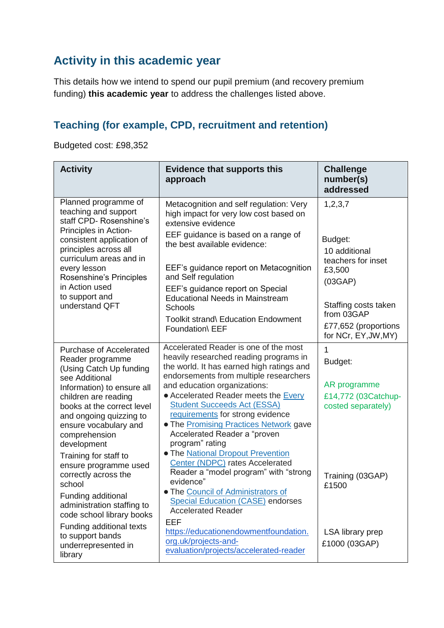# **Activity in this academic year**

This details how we intend to spend our pupil premium (and recovery premium funding) **this academic year** to address the challenges listed above.

### **Teaching (for example, CPD, recruitment and retention)**

Budgeted cost: £98,352

| <b>Activity</b>                                                                                                                                                                                                                                                                                                                                                                                                 | <b>Evidence that supports this</b><br>approach                                                                                                                                                                                                                                                                                                                                                                                                                                                                                                                                                                                                                     | <b>Challenge</b><br>number(s)<br>addressed                                                                                                                           |
|-----------------------------------------------------------------------------------------------------------------------------------------------------------------------------------------------------------------------------------------------------------------------------------------------------------------------------------------------------------------------------------------------------------------|--------------------------------------------------------------------------------------------------------------------------------------------------------------------------------------------------------------------------------------------------------------------------------------------------------------------------------------------------------------------------------------------------------------------------------------------------------------------------------------------------------------------------------------------------------------------------------------------------------------------------------------------------------------------|----------------------------------------------------------------------------------------------------------------------------------------------------------------------|
| Planned programme of<br>teaching and support<br>staff CPD- Rosenshine's<br>Principles in Action-<br>consistent application of<br>principles across all<br>curriculum areas and in<br>every lesson<br>Rosenshine's Principles<br>in Action used<br>to support and<br>understand QFT                                                                                                                              | Metacognition and self regulation: Very<br>high impact for very low cost based on<br>extensive evidence<br>EEF guidance is based on a range of<br>the best available evidence:<br>EEF's guidance report on Metacognition<br>and Self regulation<br>EEF's guidance report on Special<br><b>Educational Needs in Mainstream</b><br><b>Schools</b><br>Toolkit strand\ Education Endowment<br>Foundation\ EEF                                                                                                                                                                                                                                                          | 1,2,3,7<br>Budget:<br>10 additional<br>teachers for inset<br>£3,500<br>(03GAP)<br>Staffing costs taken<br>from 03GAP<br>£77,652 (proportions<br>for NCr, EY, JW, MY) |
| <b>Purchase of Accelerated</b><br>Reader programme<br>(Using Catch Up funding<br>see Additional<br>Information) to ensure all<br>children are reading<br>books at the correct level<br>and ongoing quizzing to<br>ensure vocabulary and<br>comprehension<br>development<br>Training for staff to<br>ensure programme used<br>correctly across the<br>school<br>Funding additional<br>administration staffing to | Accelerated Reader is one of the most<br>heavily researched reading programs in<br>the world. It has earned high ratings and<br>endorsements from multiple researchers<br>and education organizations:<br>• Accelerated Reader meets the Every<br><b>Student Succeeds Act (ESSA)</b><br>requirements for strong evidence<br>. The Promising Practices Network gave<br>Accelerated Reader a "proven<br>program" rating<br>• The National Dropout Prevention<br>Center (NDPC) rates Accelerated<br>Reader a "model program" with "strong<br>evidence"<br>. The Council of Administrators of<br><b>Special Education (CASE) endorses</b><br><b>Accelerated Reader</b> | 1<br>Budget:<br>AR programme<br>£14,772 (03Catchup-<br>costed separately)<br>Training (03GAP)<br>£1500                                                               |
| code school library books<br>Funding additional texts<br>to support bands<br>underrepresented in<br>library                                                                                                                                                                                                                                                                                                     | EEF<br>https://educationendowmentfoundation.<br>org.uk/projects-and-<br>evaluation/projects/accelerated-reader                                                                                                                                                                                                                                                                                                                                                                                                                                                                                                                                                     | LSA library prep<br>£1000 (03GAP)                                                                                                                                    |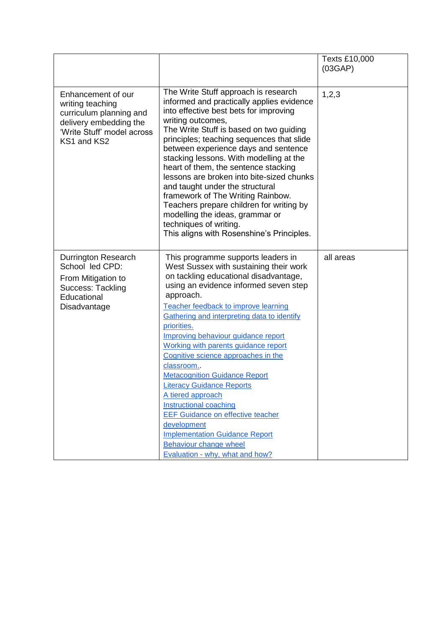|                                                                                                                                          |                                                                                                                                                                                                                                                                                                                                                                                                                                                                                                                                                                                                                                                                                                                   | Texts £10,000<br>(03GAP) |
|------------------------------------------------------------------------------------------------------------------------------------------|-------------------------------------------------------------------------------------------------------------------------------------------------------------------------------------------------------------------------------------------------------------------------------------------------------------------------------------------------------------------------------------------------------------------------------------------------------------------------------------------------------------------------------------------------------------------------------------------------------------------------------------------------------------------------------------------------------------------|--------------------------|
| Enhancement of our<br>writing teaching<br>curriculum planning and<br>delivery embedding the<br>'Write Stuff' model across<br>KS1 and KS2 | The Write Stuff approach is research<br>informed and practically applies evidence<br>into effective best bets for improving<br>writing outcomes,<br>The Write Stuff is based on two guiding<br>principles; teaching sequences that slide<br>between experience days and sentence<br>stacking lessons. With modelling at the<br>heart of them, the sentence stacking<br>lessons are broken into bite-sized chunks<br>and taught under the structural<br>framework of The Writing Rainbow.<br>Teachers prepare children for writing by<br>modelling the ideas, grammar or<br>techniques of writing.<br>This aligns with Rosenshine's Principles.                                                                    | 1,2,3                    |
| <b>Durrington Research</b><br>School led CPD:<br>From Mitigation to<br>Success: Tackling<br>Educational<br>Disadvantage                  | This programme supports leaders in<br>West Sussex with sustaining their work<br>on tackling educational disadvantage,<br>using an evidence informed seven step<br>approach.<br>Teacher feedback to improve learning<br>Gathering and interpreting data to identify<br>priorities.<br>Improving behaviour guidance report<br>Working with parents guidance report<br>Cognitive science approaches in the<br>classroom.<br><b>Metacognition Guidance Report</b><br><b>Literacy Guidance Reports</b><br>A tiered approach<br>Instructional coaching<br><b>EEF Guidance on effective teacher</b><br>development<br><b>Implementation Guidance Report</b><br>Behaviour change wheel<br>Evaluation - why, what and how? | all areas                |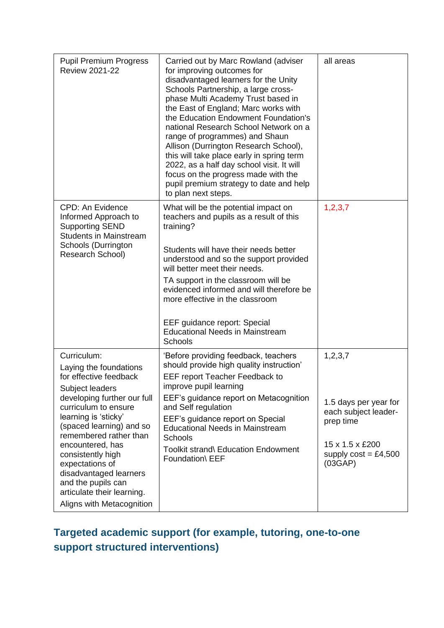| <b>Pupil Premium Progress</b><br><b>Review 2021-22</b>                                                                                                                                                                                                                                                                                                                                         | Carried out by Marc Rowland (adviser<br>for improving outcomes for<br>disadvantaged learners for the Unity<br>Schools Partnership, a large cross-<br>phase Multi Academy Trust based in<br>the East of England; Marc works with<br>the Education Endowment Foundation's<br>national Research School Network on a<br>range of programmes) and Shaun<br>Allison (Durrington Research School),<br>this will take place early in spring term<br>2022, as a half day school visit. It will<br>focus on the progress made with the<br>pupil premium strategy to date and help<br>to plan next steps. | all areas                                                                                                                        |
|------------------------------------------------------------------------------------------------------------------------------------------------------------------------------------------------------------------------------------------------------------------------------------------------------------------------------------------------------------------------------------------------|------------------------------------------------------------------------------------------------------------------------------------------------------------------------------------------------------------------------------------------------------------------------------------------------------------------------------------------------------------------------------------------------------------------------------------------------------------------------------------------------------------------------------------------------------------------------------------------------|----------------------------------------------------------------------------------------------------------------------------------|
| <b>CPD: An Evidence</b><br>Informed Approach to<br><b>Supporting SEND</b><br><b>Students in Mainstream</b><br>Schools (Durrington<br>Research School)                                                                                                                                                                                                                                          | What will be the potential impact on<br>teachers and pupils as a result of this<br>training?<br>Students will have their needs better<br>understood and so the support provided<br>will better meet their needs.<br>TA support in the classroom will be<br>evidenced informed and will therefore be<br>more effective in the classroom<br>EEF guidance report: Special<br><b>Educational Needs in Mainstream</b><br>Schools                                                                                                                                                                    | 1,2,3,7                                                                                                                          |
| Curriculum:<br>Laying the foundations<br>for effective feedback<br>Subject leaders<br>developing further our full<br>curriculum to ensure<br>learning is 'sticky'<br>(spaced learning) and so<br>remembered rather than<br>encountered, has<br>consistently high<br>expectations of<br>disadvantaged learners<br>and the pupils can<br>articulate their learning.<br>Aligns with Metacognition | 'Before providing feedback, teachers<br>should provide high quality instruction'<br>EEF report Teacher Feedback to<br>improve pupil learning<br>EEF's guidance report on Metacognition<br>and Self regulation<br>EEF's guidance report on Special<br><b>Educational Needs in Mainstream</b><br>Schools<br>Toolkit strand\ Education Endowment<br>Foundation\ EEF                                                                                                                                                                                                                               | 1, 2, 3, 7<br>1.5 days per year for<br>each subject leader-<br>prep time<br>15 x 1.5 x £200<br>supply $cost = £4,500$<br>(03GAP) |

# **Targeted academic support (for example, tutoring, one-to-one support structured interventions)**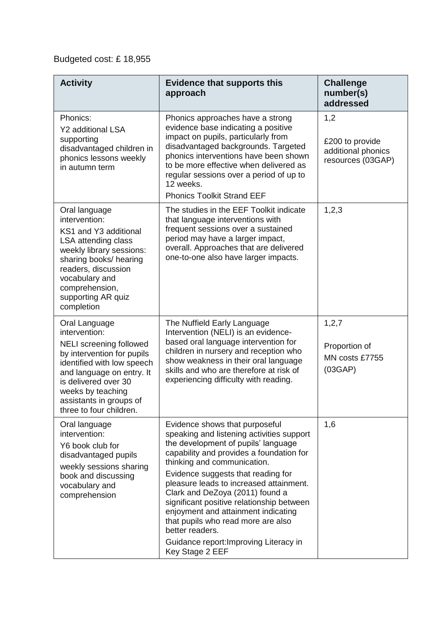## Budgeted cost: £ 18,955

| <b>Activity</b>                                                                                                                                                                                                                                              | <b>Evidence that supports this</b><br>approach                                                                                                                                                                                                                                                                                                                                                                                                                                                                              | <b>Challenge</b><br>number(s)<br>addressed                        |
|--------------------------------------------------------------------------------------------------------------------------------------------------------------------------------------------------------------------------------------------------------------|-----------------------------------------------------------------------------------------------------------------------------------------------------------------------------------------------------------------------------------------------------------------------------------------------------------------------------------------------------------------------------------------------------------------------------------------------------------------------------------------------------------------------------|-------------------------------------------------------------------|
| Phonics:<br><b>Y2</b> additional LSA<br>supporting<br>disadvantaged children in<br>phonics lessons weekly<br>in autumn term                                                                                                                                  | Phonics approaches have a strong<br>evidence base indicating a positive<br>impact on pupils, particularly from<br>disadvantaged backgrounds. Targeted<br>phonics interventions have been shown<br>to be more effective when delivered as<br>regular sessions over a period of up to<br>12 weeks.<br><b>Phonics Toolkit Strand EEF</b>                                                                                                                                                                                       | 1,2<br>£200 to provide<br>additional phonics<br>resources (03GAP) |
| Oral language<br>intervention:<br>KS1 and Y3 additional<br>LSA attending class<br>weekly library sessions:<br>sharing books/ hearing<br>readers, discussion<br>vocabulary and<br>comprehension,<br>supporting AR quiz<br>completion                          | The studies in the EEF Toolkit indicate<br>that language interventions with<br>frequent sessions over a sustained<br>period may have a larger impact,<br>overall. Approaches that are delivered<br>one-to-one also have larger impacts.                                                                                                                                                                                                                                                                                     | 1,2,3                                                             |
| Oral Language<br>intervention:<br><b>NELI</b> screening followed<br>by intervention for pupils<br>identified with low speech<br>and language on entry. It<br>is delivered over 30<br>weeks by teaching<br>assistants in groups of<br>three to four children. | The Nuffield Early Language<br>Intervention (NELI) is an evidence-<br>based oral language intervention for<br>children in nursery and reception who<br>show weakness in their oral language<br>skills and who are therefore at risk of<br>experiencing difficulty with reading.                                                                                                                                                                                                                                             | 1, 2, 7<br>Proportion of<br>MN costs £7755<br>(03GAP)             |
| Oral language<br>intervention:<br>Y6 book club for<br>disadvantaged pupils<br>weekly sessions sharing<br>book and discussing<br>vocabulary and<br>comprehension                                                                                              | Evidence shows that purposeful<br>speaking and listening activities support<br>the development of pupils' language<br>capability and provides a foundation for<br>thinking and communication.<br>Evidence suggests that reading for<br>pleasure leads to increased attainment.<br>Clark and DeZoya (2011) found a<br>significant positive relationship between<br>enjoyment and attainment indicating<br>that pupils who read more are also<br>better readers.<br>Guidance report: Improving Literacy in<br>Key Stage 2 EEF | 1,6                                                               |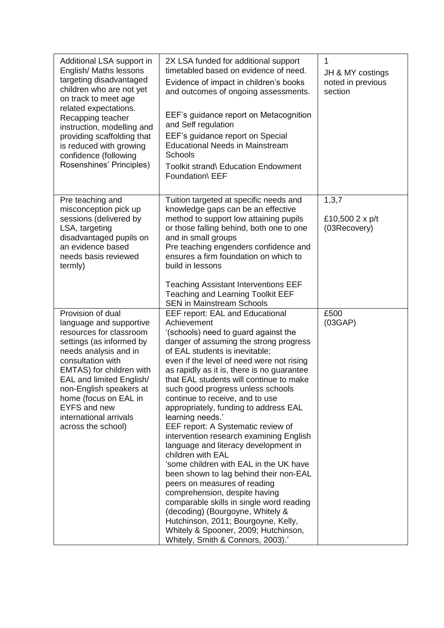| Additional LSA support in<br>English/ Maths lessons<br>targeting disadvantaged<br>children who are not yet<br>on track to meet age<br>related expectations.<br>Recapping teacher<br>instruction, modelling and<br>providing scaffolding that<br>is reduced with growing<br>confidence (following<br>Rosenshines' Principles)         | 2X LSA funded for additional support<br>timetabled based on evidence of need.<br>Evidence of impact in children's books<br>and outcomes of ongoing assessments.<br>EEF's guidance report on Metacognition<br>and Self regulation<br>EEF's guidance report on Special<br><b>Educational Needs in Mainstream</b><br>Schools<br>Toolkit strand\ Education Endowment<br>Foundation\ EEF                                                                                                                                                                                                                                                                                                                                                                                                                                                                                                                                                                         | 1<br>JH & MY costings<br>noted in previous<br>section |
|--------------------------------------------------------------------------------------------------------------------------------------------------------------------------------------------------------------------------------------------------------------------------------------------------------------------------------------|-------------------------------------------------------------------------------------------------------------------------------------------------------------------------------------------------------------------------------------------------------------------------------------------------------------------------------------------------------------------------------------------------------------------------------------------------------------------------------------------------------------------------------------------------------------------------------------------------------------------------------------------------------------------------------------------------------------------------------------------------------------------------------------------------------------------------------------------------------------------------------------------------------------------------------------------------------------|-------------------------------------------------------|
| Pre teaching and<br>misconception pick up<br>sessions (delivered by<br>LSA, targeting<br>disadvantaged pupils on<br>an evidence based<br>needs basis reviewed<br>termly)                                                                                                                                                             | Tuition targeted at specific needs and<br>knowledge gaps can be an effective<br>method to support low attaining pupils<br>or those falling behind, both one to one<br>and in small groups<br>Pre teaching engenders confidence and<br>ensures a firm foundation on which to<br>build in lessons<br><b>Teaching Assistant Interventions EEF</b><br><b>Teaching and Learning Toolkit EEF</b><br><b>SEN in Mainstream Schools</b>                                                                                                                                                                                                                                                                                                                                                                                                                                                                                                                              | 1, 3, 7<br>£10,500 2 x p/t<br>(03Recovery)            |
| Provision of dual<br>language and supportive<br>resources for classroom<br>settings (as informed by<br>needs analysis and in<br>consultation with<br>EMTAS) for children with<br>EAL and limited English/<br>non-English speakers at<br>home (focus on EAL in<br><b>EYFS and new</b><br>international arrivals<br>across the school) | <b>EEF report: EAL and Educational</b><br>Achievement<br>'(schools) need to guard against the<br>danger of assuming the strong progress<br>of EAL students is inevitable;<br>even if the level of need were not rising<br>as rapidly as it is, there is no guarantee<br>that EAL students will continue to make<br>such good progress unless schools<br>continue to receive, and to use<br>appropriately, funding to address EAL<br>learning needs.'<br>EEF report: A Systematic review of<br>intervention research examining English<br>language and literacy development in<br>children with EAL<br>'some children with EAL in the UK have<br>been shown to lag behind their non-EAL<br>peers on measures of reading<br>comprehension, despite having<br>comparable skills in single word reading<br>(decoding) (Bourgoyne, Whitely &<br>Hutchinson, 2011; Bourgoyne, Kelly,<br>Whitely & Spooner, 2009; Hutchinson,<br>Whitely, Smith & Connors, 2003).' | £500<br>(03GAP)                                       |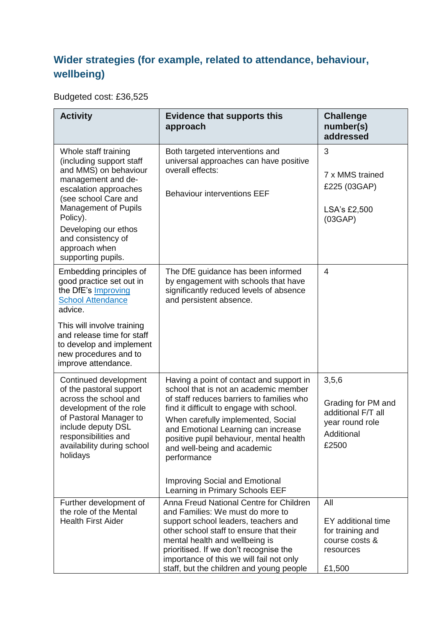## **Wider strategies (for example, related to attendance, behaviour, wellbeing)**

### Budgeted cost: £36,525

| <b>Activity</b>                                                                                                                                                                                                                                                           | <b>Evidence that supports this</b><br>approach                                                                                                                                                                                                                                                                                                                                                                               | <b>Challenge</b><br>number(s)<br>addressed                                                  |
|---------------------------------------------------------------------------------------------------------------------------------------------------------------------------------------------------------------------------------------------------------------------------|------------------------------------------------------------------------------------------------------------------------------------------------------------------------------------------------------------------------------------------------------------------------------------------------------------------------------------------------------------------------------------------------------------------------------|---------------------------------------------------------------------------------------------|
| Whole staff training<br>(including support staff<br>and MMS) on behaviour<br>management and de-<br>escalation approaches<br>(see school Care and<br>Management of Pupils<br>Policy).<br>Developing our ethos<br>and consistency of<br>approach when<br>supporting pupils. | Both targeted interventions and<br>universal approaches can have positive<br>overall effects:<br><b>Behaviour interventions EEF</b>                                                                                                                                                                                                                                                                                          | 3<br>7 x MMS trained<br>£225 (03GAP)<br>LSA's £2,500<br>(03GAP)                             |
| Embedding principles of<br>good practice set out in<br>the DfE's Improving<br><b>School Attendance</b><br>advice.<br>This will involve training<br>and release time for staff<br>to develop and implement<br>new procedures and to<br>improve attendance.                 | The DfE guidance has been informed<br>by engagement with schools that have<br>significantly reduced levels of absence<br>and persistent absence.                                                                                                                                                                                                                                                                             | $\overline{4}$                                                                              |
| Continued development<br>of the pastoral support<br>across the school and<br>development of the role<br>of Pastoral Manager to<br>include deputy DSL<br>responsibilities and<br>availability during school<br>holidays                                                    | Having a point of contact and support in<br>school that is not an academic member<br>of staff reduces barriers to families who<br>find it difficult to engage with school.<br>When carefully implemented, Social<br>and Emotional Learning can increase<br>positive pupil behaviour, mental health<br>and well-being and academic<br>performance<br><b>Improving Social and Emotional</b><br>Learning in Primary Schools EEF | 3,5,6<br>Grading for PM and<br>additional F/T all<br>year round role<br>Additional<br>£2500 |
| Further development of<br>the role of the Mental<br><b>Health First Aider</b>                                                                                                                                                                                             | Anna Freud National Centre for Children<br>and Families: We must do more to<br>support school leaders, teachers and<br>other school staff to ensure that their<br>mental health and wellbeing is<br>prioritised. If we don't recognise the<br>importance of this we will fail not only<br>staff, but the children and young people                                                                                           | All<br>EY additional time<br>for training and<br>course costs &<br>resources<br>£1,500      |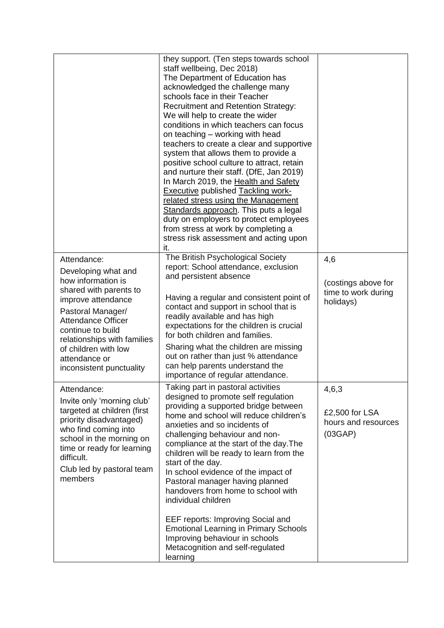|                                                                                                                                                                                                                                                                                     | they support. (Ten steps towards school<br>staff wellbeing, Dec 2018)<br>The Department of Education has<br>acknowledged the challenge many<br>schools face in their Teacher<br><b>Recruitment and Retention Strategy:</b><br>We will help to create the wider<br>conditions in which teachers can focus<br>on teaching - working with head<br>teachers to create a clear and supportive<br>system that allows them to provide a<br>positive school culture to attract, retain<br>and nurture their staff. (DfE, Jan 2019)<br>In March 2019, the Health and Safety<br><b>Executive published Tackling work-</b><br>related stress using the Management<br>Standards approach. This puts a legal<br>duty on employers to protect employees<br>from stress at work by completing a<br>stress risk assessment and acting upon<br>it. |                                                                |
|-------------------------------------------------------------------------------------------------------------------------------------------------------------------------------------------------------------------------------------------------------------------------------------|-----------------------------------------------------------------------------------------------------------------------------------------------------------------------------------------------------------------------------------------------------------------------------------------------------------------------------------------------------------------------------------------------------------------------------------------------------------------------------------------------------------------------------------------------------------------------------------------------------------------------------------------------------------------------------------------------------------------------------------------------------------------------------------------------------------------------------------|----------------------------------------------------------------|
| Attendance:<br>Developing what and<br>how information is<br>shared with parents to<br>improve attendance<br>Pastoral Manager/<br><b>Attendance Officer</b><br>continue to build<br>relationships with families<br>of children with low<br>attendance or<br>inconsistent punctuality | The British Psychological Society<br>report: School attendance, exclusion<br>and persistent absence<br>Having a regular and consistent point of<br>contact and support in school that is<br>readily available and has high<br>expectations for the children is crucial<br>for both children and families.<br>Sharing what the children are missing<br>out on rather than just % attendance<br>can help parents understand the<br>importance of regular attendance.                                                                                                                                                                                                                                                                                                                                                                | 4,6<br>(costings above for<br>time to work during<br>holidays) |
| Attendance:<br>Invite only 'morning club'<br>targeted at children (first<br>priority disadvantaged)<br>who find coming into<br>school in the morning on<br>time or ready for learning<br>difficult.<br>Club led by pastoral team<br>members                                         | Taking part in pastoral activities<br>designed to promote self regulation<br>providing a supported bridge between<br>home and school will reduce children's<br>anxieties and so incidents of<br>challenging behaviour and non-<br>compliance at the start of the day. The<br>children will be ready to learn from the<br>start of the day.<br>In school evidence of the impact of<br>Pastoral manager having planned<br>handovers from home to school with<br>individual children<br>EEF reports: Improving Social and<br><b>Emotional Learning in Primary Schools</b><br>Improving behaviour in schools<br>Metacognition and self-regulated<br>learning                                                                                                                                                                          | 4,6,3<br>£2,500 for LSA<br>hours and resources<br>(03GAP)      |